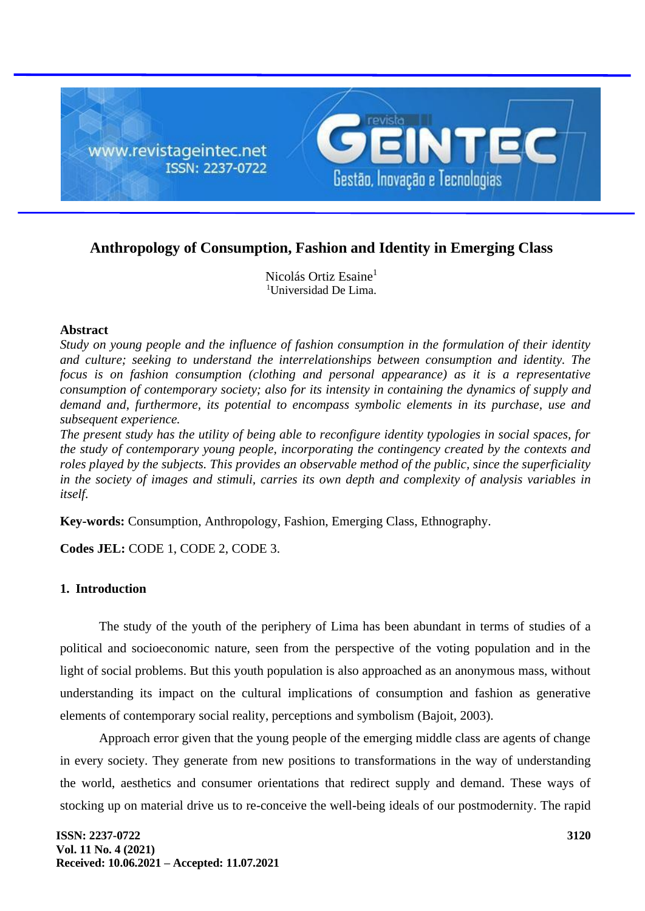

# **Anthropology of Consumption, Fashion and Identity in Emerging Class**

Nicolás Ortiz Esaine<sup>1</sup> <sup>1</sup>Universidad De Lima.

## **Abstract**

*Study on young people and the influence of fashion consumption in the formulation of their identity and culture; seeking to understand the interrelationships between consumption and identity. The focus is on fashion consumption (clothing and personal appearance) as it is a representative consumption of contemporary society; also for its intensity in containing the dynamics of supply and demand and, furthermore, its potential to encompass symbolic elements in its purchase, use and subsequent experience.*

*The present study has the utility of being able to reconfigure identity typologies in social spaces, for the study of contemporary young people, incorporating the contingency created by the contexts and roles played by the subjects. This provides an observable method of the public, since the superficiality in the society of images and stimuli, carries its own depth and complexity of analysis variables in itself.*

**Key-words:** Consumption, Anthropology, Fashion, Emerging Class, Ethnography.

**Codes JEL:** CODE 1, CODE 2, CODE 3.

# **1. Introduction**

The study of the youth of the periphery of Lima has been abundant in terms of studies of a political and socioeconomic nature, seen from the perspective of the voting population and in the light of social problems. But this youth population is also approached as an anonymous mass, without understanding its impact on the cultural implications of consumption and fashion as generative elements of contemporary social reality, perceptions and symbolism (Bajoit, 2003).

Approach error given that the young people of the emerging middle class are agents of change in every society. They generate from new positions to transformations in the way of understanding the world, aesthetics and consumer orientations that redirect supply and demand. These ways of stocking up on material drive us to re-conceive the well-being ideals of our postmodernity. The rapid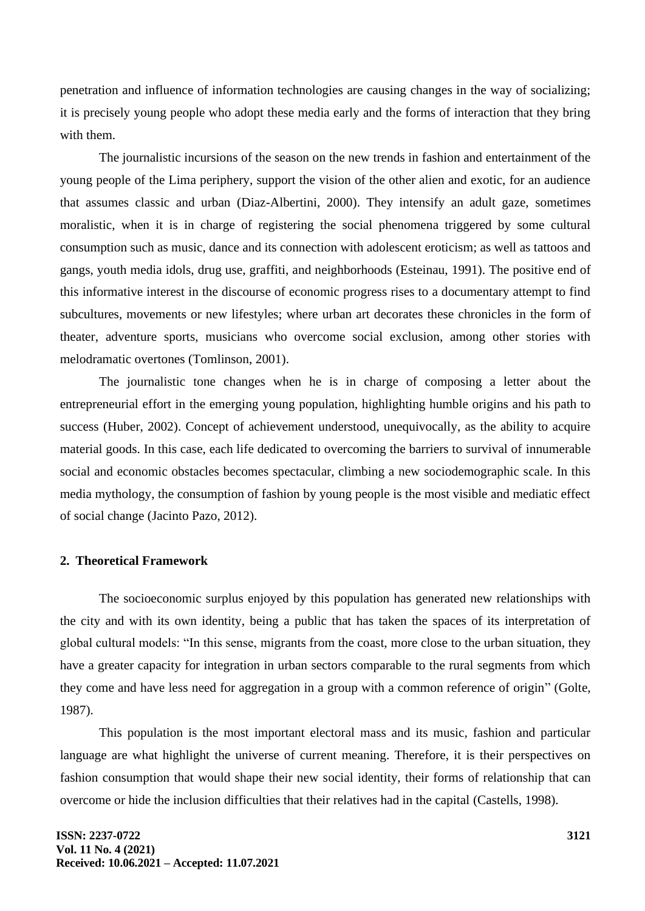penetration and influence of information technologies are causing changes in the way of socializing; it is precisely young people who adopt these media early and the forms of interaction that they bring with them.

The journalistic incursions of the season on the new trends in fashion and entertainment of the young people of the Lima periphery, support the vision of the other alien and exotic, for an audience that assumes classic and urban (Diaz-Albertini, 2000). They intensify an adult gaze, sometimes moralistic, when it is in charge of registering the social phenomena triggered by some cultural consumption such as music, dance and its connection with adolescent eroticism; as well as tattoos and gangs, youth media idols, drug use, graffiti, and neighborhoods (Esteinau, 1991). The positive end of this informative interest in the discourse of economic progress rises to a documentary attempt to find subcultures, movements or new lifestyles; where urban art decorates these chronicles in the form of theater, adventure sports, musicians who overcome social exclusion, among other stories with melodramatic overtones (Tomlinson, 2001).

The journalistic tone changes when he is in charge of composing a letter about the entrepreneurial effort in the emerging young population, highlighting humble origins and his path to success (Huber, 2002). Concept of achievement understood, unequivocally, as the ability to acquire material goods. In this case, each life dedicated to overcoming the barriers to survival of innumerable social and economic obstacles becomes spectacular, climbing a new sociodemographic scale. In this media mythology, the consumption of fashion by young people is the most visible and mediatic effect of social change (Jacinto Pazo, 2012).

#### **2. Theoretical Framework**

The socioeconomic surplus enjoyed by this population has generated new relationships with the city and with its own identity, being a public that has taken the spaces of its interpretation of global cultural models: "In this sense, migrants from the coast, more close to the urban situation, they have a greater capacity for integration in urban sectors comparable to the rural segments from which they come and have less need for aggregation in a group with a common reference of origin" (Golte, 1987).

This population is the most important electoral mass and its music, fashion and particular language are what highlight the universe of current meaning. Therefore, it is their perspectives on fashion consumption that would shape their new social identity, their forms of relationship that can overcome or hide the inclusion difficulties that their relatives had in the capital (Castells, 1998).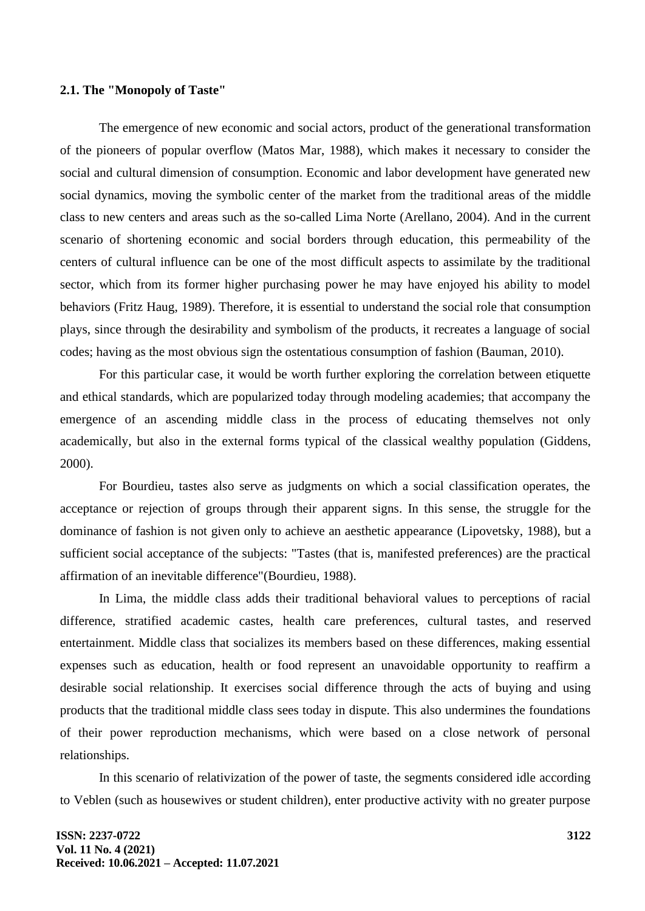#### **2.1. The "Monopoly of Taste"**

The emergence of new economic and social actors, product of the generational transformation of the pioneers of popular overflow (Matos Mar, 1988), which makes it necessary to consider the social and cultural dimension of consumption. Economic and labor development have generated new social dynamics, moving the symbolic center of the market from the traditional areas of the middle class to new centers and areas such as the so-called Lima Norte (Arellano, 2004). And in the current scenario of shortening economic and social borders through education, this permeability of the centers of cultural influence can be one of the most difficult aspects to assimilate by the traditional sector, which from its former higher purchasing power he may have enjoyed his ability to model behaviors (Fritz Haug, 1989). Therefore, it is essential to understand the social role that consumption plays, since through the desirability and symbolism of the products, it recreates a language of social codes; having as the most obvious sign the ostentatious consumption of fashion (Bauman, 2010).

For this particular case, it would be worth further exploring the correlation between etiquette and ethical standards, which are popularized today through modeling academies; that accompany the emergence of an ascending middle class in the process of educating themselves not only academically, but also in the external forms typical of the classical wealthy population (Giddens, 2000).

For Bourdieu, tastes also serve as judgments on which a social classification operates, the acceptance or rejection of groups through their apparent signs. In this sense, the struggle for the dominance of fashion is not given only to achieve an aesthetic appearance (Lipovetsky, 1988), but a sufficient social acceptance of the subjects: "Tastes (that is, manifested preferences) are the practical affirmation of an inevitable difference"(Bourdieu, 1988).

In Lima, the middle class adds their traditional behavioral values to perceptions of racial difference, stratified academic castes, health care preferences, cultural tastes, and reserved entertainment. Middle class that socializes its members based on these differences, making essential expenses such as education, health or food represent an unavoidable opportunity to reaffirm a desirable social relationship. It exercises social difference through the acts of buying and using products that the traditional middle class sees today in dispute. This also undermines the foundations of their power reproduction mechanisms, which were based on a close network of personal relationships.

In this scenario of relativization of the power of taste, the segments considered idle according to Veblen (such as housewives or student children), enter productive activity with no greater purpose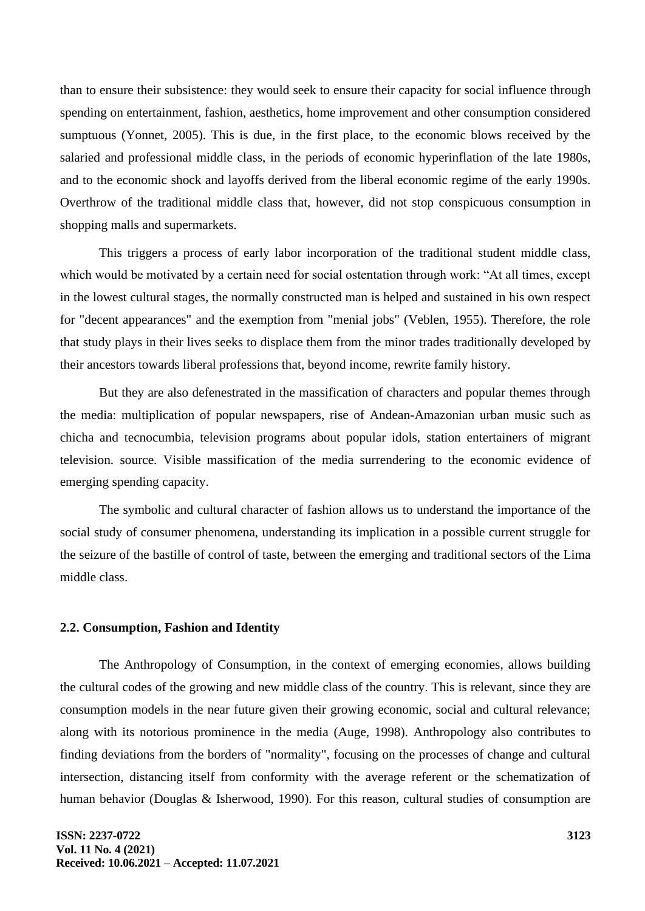than to ensure their subsistence: they would seek to ensure their capacity for social influence through spending on entertainment, fashion, aesthetics, home improvement and other consumption considered sumptuous (Yonnet, 2005). This is due, in the first place, to the economic blows received by the salaried and professional middle class, in the periods of economic hyperinflation of the late 1980s, and to the economic shock and layoffs derived from the liberal economic regime of the early 1990s. Overthrow of the traditional middle class that, however, did not stop conspicuous consumption in shopping malls and supermarkets.

This triggers a process of early labor incorporation of the traditional student middle class, which would be motivated by a certain need for social ostentation through work: "At all times, except in the lowest cultural stages, the normally constructed man is helped and sustained in his own respect for "decent appearances" and the exemption from "menial jobs" (Veblen, 1955). Therefore, the role that study plays in their lives seeks to displace them from the minor trades traditionally developed by their ancestors towards liberal professions that, beyond income, rewrite family history.

But they are also defenestrated in the massification of characters and popular themes through the media: multiplication of popular newspapers, rise of Andean-Amazonian urban music such as chicha and tecnocumbia, television programs about popular idols, station entertainers of migrant television. source. Visible massification of the media surrendering to the economic evidence of emerging spending capacity.

The symbolic and cultural character of fashion allows us to understand the importance of the social study of consumer phenomena, understanding its implication in a possible current struggle for the seizure of the bastille of control of taste, between the emerging and traditional sectors of the Lima middle class.

#### **2.2. Consumption, Fashion and Identity**

The Anthropology of Consumption, in the context of emerging economies, allows building the cultural codes of the growing and new middle class of the country. This is relevant, since they are consumption models in the near future given their growing economic, social and cultural relevance; along with its notorious prominence in the media (Auge, 1998). Anthropology also contributes to finding deviations from the borders of "normality", focusing on the processes of change and cultural intersection, distancing itself from conformity with the average referent or the schematization of human behavior (Douglas & Isherwood, 1990). For this reason, cultural studies of consumption are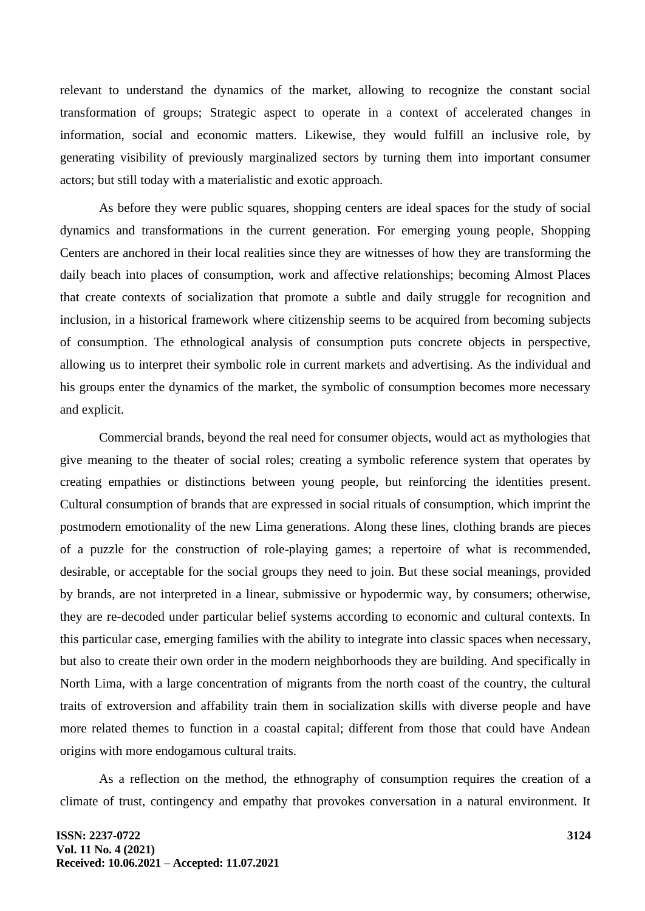relevant to understand the dynamics of the market, allowing to recognize the constant social transformation of groups; Strategic aspect to operate in a context of accelerated changes in information, social and economic matters. Likewise, they would fulfill an inclusive role, by generating visibility of previously marginalized sectors by turning them into important consumer actors; but still today with a materialistic and exotic approach.

As before they were public squares, shopping centers are ideal spaces for the study of social dynamics and transformations in the current generation. For emerging young people, Shopping Centers are anchored in their local realities since they are witnesses of how they are transforming the daily beach into places of consumption, work and affective relationships; becoming Almost Places that create contexts of socialization that promote a subtle and daily struggle for recognition and inclusion, in a historical framework where citizenship seems to be acquired from becoming subjects of consumption. The ethnological analysis of consumption puts concrete objects in perspective, allowing us to interpret their symbolic role in current markets and advertising. As the individual and his groups enter the dynamics of the market, the symbolic of consumption becomes more necessary and explicit.

Commercial brands, beyond the real need for consumer objects, would act as mythologies that give meaning to the theater of social roles; creating a symbolic reference system that operates by creating empathies or distinctions between young people, but reinforcing the identities present. Cultural consumption of brands that are expressed in social rituals of consumption, which imprint the postmodern emotionality of the new Lima generations. Along these lines, clothing brands are pieces of a puzzle for the construction of role-playing games; a repertoire of what is recommended, desirable, or acceptable for the social groups they need to join. But these social meanings, provided by brands, are not interpreted in a linear, submissive or hypodermic way, by consumers; otherwise, they are re-decoded under particular belief systems according to economic and cultural contexts. In this particular case, emerging families with the ability to integrate into classic spaces when necessary, but also to create their own order in the modern neighborhoods they are building. And specifically in North Lima, with a large concentration of migrants from the north coast of the country, the cultural traits of extroversion and affability train them in socialization skills with diverse people and have more related themes to function in a coastal capital; different from those that could have Andean origins with more endogamous cultural traits.

As a reflection on the method, the ethnography of consumption requires the creation of a climate of trust, contingency and empathy that provokes conversation in a natural environment. It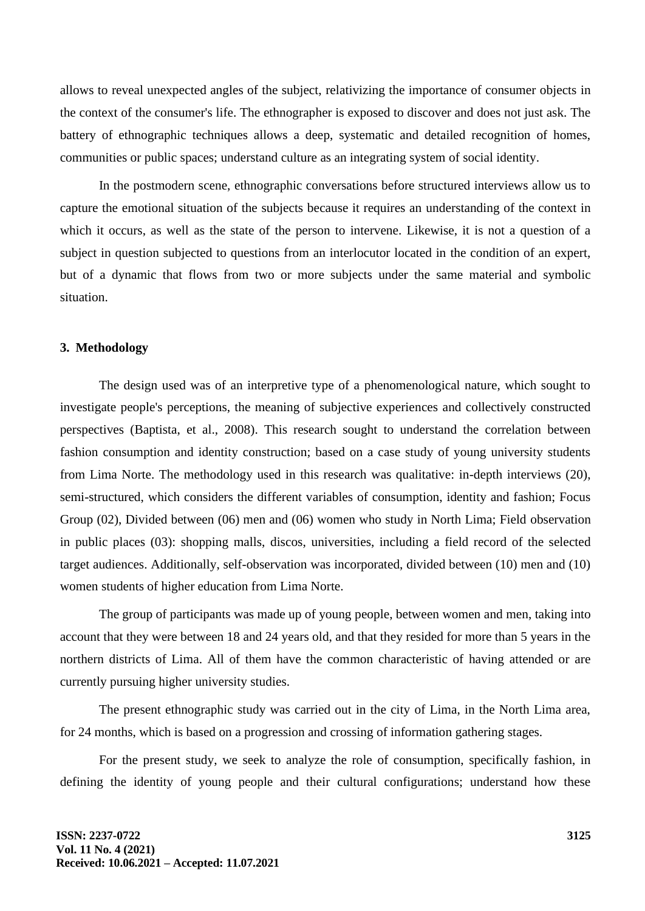allows to reveal unexpected angles of the subject, relativizing the importance of consumer objects in the context of the consumer's life. The ethnographer is exposed to discover and does not just ask. The battery of ethnographic techniques allows a deep, systematic and detailed recognition of homes, communities or public spaces; understand culture as an integrating system of social identity.

In the postmodern scene, ethnographic conversations before structured interviews allow us to capture the emotional situation of the subjects because it requires an understanding of the context in which it occurs, as well as the state of the person to intervene. Likewise, it is not a question of a subject in question subjected to questions from an interlocutor located in the condition of an expert, but of a dynamic that flows from two or more subjects under the same material and symbolic situation.

## **3. Methodology**

The design used was of an interpretive type of a phenomenological nature, which sought to investigate people's perceptions, the meaning of subjective experiences and collectively constructed perspectives (Baptista, et al., 2008). This research sought to understand the correlation between fashion consumption and identity construction; based on a case study of young university students from Lima Norte. The methodology used in this research was qualitative: in-depth interviews (20), semi-structured, which considers the different variables of consumption, identity and fashion; Focus Group (02), Divided between (06) men and (06) women who study in North Lima; Field observation in public places (03): shopping malls, discos, universities, including a field record of the selected target audiences. Additionally, self-observation was incorporated, divided between (10) men and (10) women students of higher education from Lima Norte.

The group of participants was made up of young people, between women and men, taking into account that they were between 18 and 24 years old, and that they resided for more than 5 years in the northern districts of Lima. All of them have the common characteristic of having attended or are currently pursuing higher university studies.

The present ethnographic study was carried out in the city of Lima, in the North Lima area, for 24 months, which is based on a progression and crossing of information gathering stages.

For the present study, we seek to analyze the role of consumption, specifically fashion, in defining the identity of young people and their cultural configurations; understand how these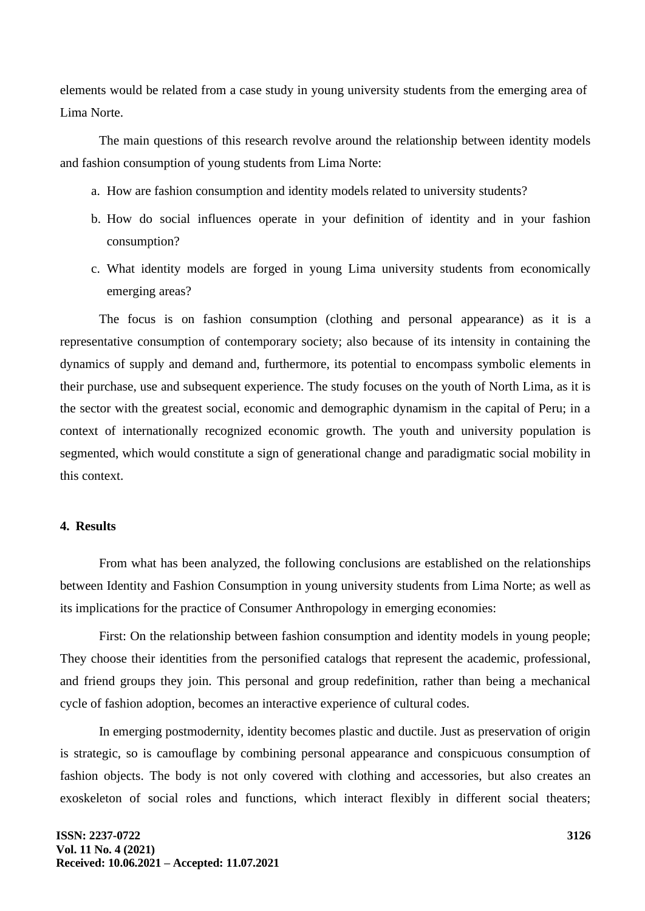elements would be related from a case study in young university students from the emerging area of Lima Norte.

The main questions of this research revolve around the relationship between identity models and fashion consumption of young students from Lima Norte:

- a. How are fashion consumption and identity models related to university students?
- b. How do social influences operate in your definition of identity and in your fashion consumption?
- c. What identity models are forged in young Lima university students from economically emerging areas?

The focus is on fashion consumption (clothing and personal appearance) as it is a representative consumption of contemporary society; also because of its intensity in containing the dynamics of supply and demand and, furthermore, its potential to encompass symbolic elements in their purchase, use and subsequent experience. The study focuses on the youth of North Lima, as it is the sector with the greatest social, economic and demographic dynamism in the capital of Peru; in a context of internationally recognized economic growth. The youth and university population is segmented, which would constitute a sign of generational change and paradigmatic social mobility in this context.

# **4. Results**

From what has been analyzed, the following conclusions are established on the relationships between Identity and Fashion Consumption in young university students from Lima Norte; as well as its implications for the practice of Consumer Anthropology in emerging economies:

First: On the relationship between fashion consumption and identity models in young people; They choose their identities from the personified catalogs that represent the academic, professional, and friend groups they join. This personal and group redefinition, rather than being a mechanical cycle of fashion adoption, becomes an interactive experience of cultural codes.

In emerging postmodernity, identity becomes plastic and ductile. Just as preservation of origin is strategic, so is camouflage by combining personal appearance and conspicuous consumption of fashion objects. The body is not only covered with clothing and accessories, but also creates an exoskeleton of social roles and functions, which interact flexibly in different social theaters;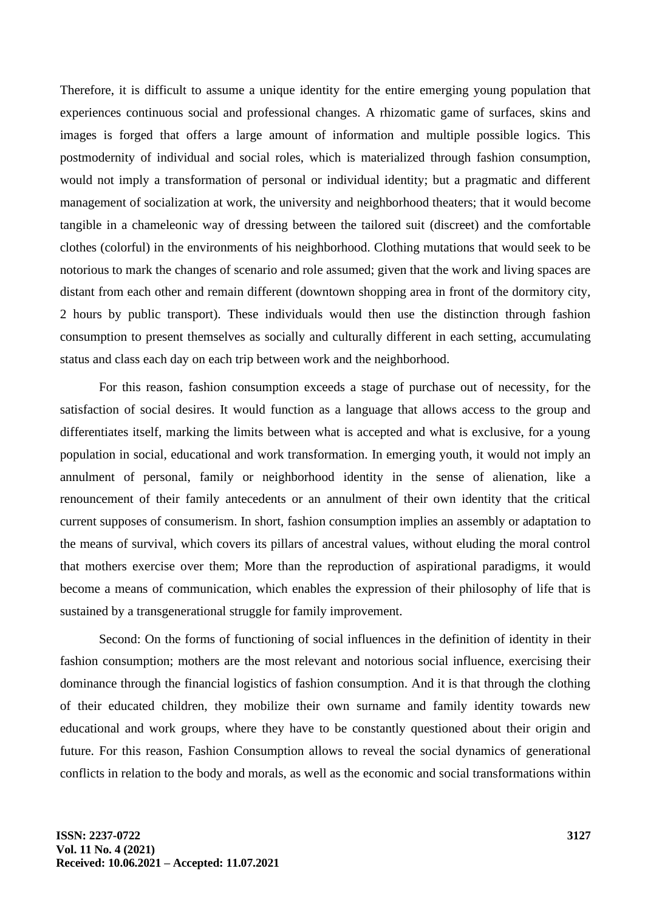Therefore, it is difficult to assume a unique identity for the entire emerging young population that experiences continuous social and professional changes. A rhizomatic game of surfaces, skins and images is forged that offers a large amount of information and multiple possible logics. This postmodernity of individual and social roles, which is materialized through fashion consumption, would not imply a transformation of personal or individual identity; but a pragmatic and different management of socialization at work, the university and neighborhood theaters; that it would become tangible in a chameleonic way of dressing between the tailored suit (discreet) and the comfortable clothes (colorful) in the environments of his neighborhood. Clothing mutations that would seek to be notorious to mark the changes of scenario and role assumed; given that the work and living spaces are distant from each other and remain different (downtown shopping area in front of the dormitory city, 2 hours by public transport). These individuals would then use the distinction through fashion consumption to present themselves as socially and culturally different in each setting, accumulating status and class each day on each trip between work and the neighborhood.

For this reason, fashion consumption exceeds a stage of purchase out of necessity, for the satisfaction of social desires. It would function as a language that allows access to the group and differentiates itself, marking the limits between what is accepted and what is exclusive, for a young population in social, educational and work transformation. In emerging youth, it would not imply an annulment of personal, family or neighborhood identity in the sense of alienation, like a renouncement of their family antecedents or an annulment of their own identity that the critical current supposes of consumerism. In short, fashion consumption implies an assembly or adaptation to the means of survival, which covers its pillars of ancestral values, without eluding the moral control that mothers exercise over them; More than the reproduction of aspirational paradigms, it would become a means of communication, which enables the expression of their philosophy of life that is sustained by a transgenerational struggle for family improvement.

Second: On the forms of functioning of social influences in the definition of identity in their fashion consumption; mothers are the most relevant and notorious social influence, exercising their dominance through the financial logistics of fashion consumption. And it is that through the clothing of their educated children, they mobilize their own surname and family identity towards new educational and work groups, where they have to be constantly questioned about their origin and future. For this reason, Fashion Consumption allows to reveal the social dynamics of generational conflicts in relation to the body and morals, as well as the economic and social transformations within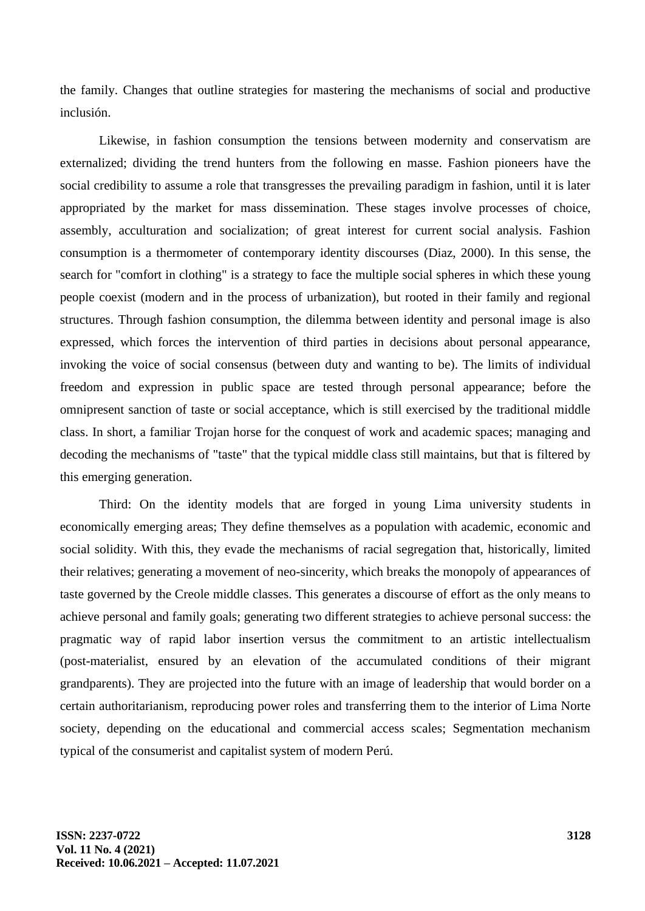the family. Changes that outline strategies for mastering the mechanisms of social and productive inclusión.

Likewise, in fashion consumption the tensions between modernity and conservatism are externalized; dividing the trend hunters from the following en masse. Fashion pioneers have the social credibility to assume a role that transgresses the prevailing paradigm in fashion, until it is later appropriated by the market for mass dissemination. These stages involve processes of choice, assembly, acculturation and socialization; of great interest for current social analysis. Fashion consumption is a thermometer of contemporary identity discourses (Diaz, 2000). In this sense, the search for "comfort in clothing" is a strategy to face the multiple social spheres in which these young people coexist (modern and in the process of urbanization), but rooted in their family and regional structures. Through fashion consumption, the dilemma between identity and personal image is also expressed, which forces the intervention of third parties in decisions about personal appearance, invoking the voice of social consensus (between duty and wanting to be). The limits of individual freedom and expression in public space are tested through personal appearance; before the omnipresent sanction of taste or social acceptance, which is still exercised by the traditional middle class. In short, a familiar Trojan horse for the conquest of work and academic spaces; managing and decoding the mechanisms of "taste" that the typical middle class still maintains, but that is filtered by this emerging generation.

Third: On the identity models that are forged in young Lima university students in economically emerging areas; They define themselves as a population with academic, economic and social solidity. With this, they evade the mechanisms of racial segregation that, historically, limited their relatives; generating a movement of neo-sincerity, which breaks the monopoly of appearances of taste governed by the Creole middle classes. This generates a discourse of effort as the only means to achieve personal and family goals; generating two different strategies to achieve personal success: the pragmatic way of rapid labor insertion versus the commitment to an artistic intellectualism (post-materialist, ensured by an elevation of the accumulated conditions of their migrant grandparents). They are projected into the future with an image of leadership that would border on a certain authoritarianism, reproducing power roles and transferring them to the interior of Lima Norte society, depending on the educational and commercial access scales; Segmentation mechanism typical of the consumerist and capitalist system of modern Perú.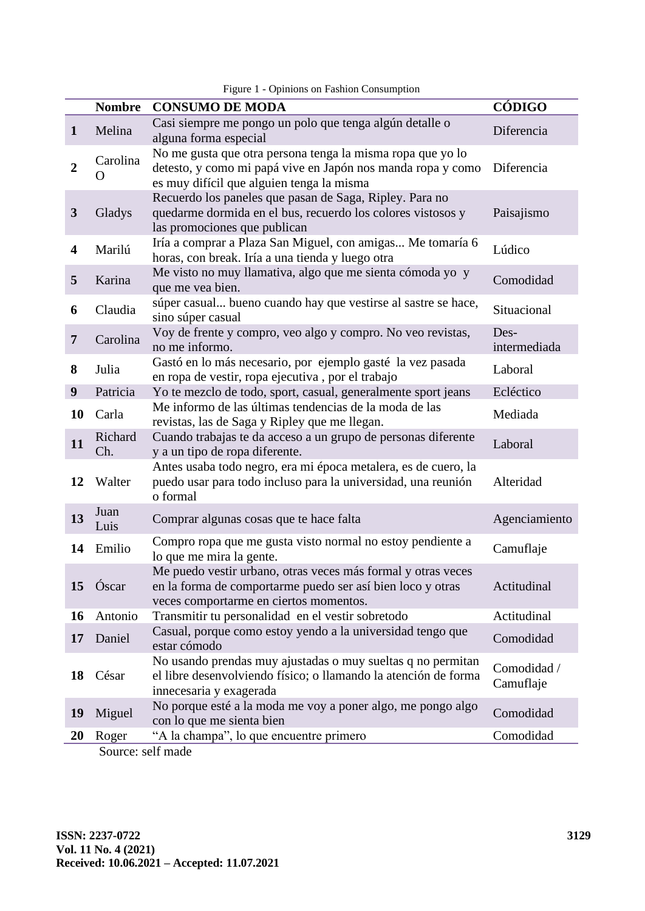|                | <b>Nombre</b>     | <b>CONSUMO DE MODA</b>                                                                                                                                                 | CÓDIGO                   |
|----------------|-------------------|------------------------------------------------------------------------------------------------------------------------------------------------------------------------|--------------------------|
| $\mathbf{1}$   | Melina            | Casi siempre me pongo un polo que tenga algún detalle o<br>alguna forma especial                                                                                       | Diferencia               |
| $\overline{2}$ | Carolina<br>( )   | No me gusta que otra persona tenga la misma ropa que yo lo<br>detesto, y como mi papá vive en Japón nos manda ropa y como<br>es muy difícil que alguien tenga la misma | Diferencia               |
| $\mathbf{3}$   | Gladys            | Recuerdo los paneles que pasan de Saga, Ripley. Para no<br>quedarme dormida en el bus, recuerdo los colores vistosos y<br>las promociones que publican                 | Paisajismo               |
| 4              | Marilú            | Iría a comprar a Plaza San Miguel, con amigas Me tomaría 6<br>horas, con break. Iría a una tienda y luego otra                                                         | Lúdico                   |
| 5              | Karina            | Me visto no muy llamativa, algo que me sienta cómoda yo y<br>que me vea bien.                                                                                          | Comodidad                |
| 6              | Claudia           | súper casual bueno cuando hay que vestirse al sastre se hace,<br>sino súper casual                                                                                     | Situacional              |
| 7              | Carolina          | Voy de frente y compro, veo algo y compro. No veo revistas,<br>no me informo.                                                                                          | Des-<br>intermediada     |
| 8              | Julia             | Gastó en lo más necesario, por ejemplo gasté la vez pasada<br>en ropa de vestir, ropa ejecutiva, por el trabajo                                                        | Laboral                  |
| 9              | Patricia          | Yo te mezclo de todo, sport, casual, generalmente sport jeans                                                                                                          | Ecléctico                |
| 10             | Carla             | Me informo de las últimas tendencias de la moda de las<br>revistas, las de Saga y Ripley que me llegan.                                                                | Mediada                  |
| 11             | Richard<br>Ch.    | Cuando trabajas te da acceso a un grupo de personas diferente<br>y a un tipo de ropa diferente.                                                                        | Laboral                  |
| 12             | Walter            | Antes usaba todo negro, era mi época metalera, es de cuero, la<br>puedo usar para todo incluso para la universidad, una reunión<br>o formal                            | Alteridad                |
| 13             | Juan<br>Luis      | Comprar algunas cosas que te hace falta                                                                                                                                | Agenciamiento            |
| 14             | Emilio            | Compro ropa que me gusta visto normal no estoy pendiente a<br>lo que me mira la gente.                                                                                 | Camuflaje                |
| 15             | Óscar             | Me puedo vestir urbano, otras veces más formal y otras veces<br>en la forma de comportarme puedo ser así bien loco y otras<br>veces comportarme en ciertos momentos.   | Actitudinal              |
| 16             | Antonio           | Transmitir tu personalidad en el vestir sobretodo                                                                                                                      | Actitudinal              |
| 17             | Daniel            | Casual, porque como estoy yendo a la universidad tengo que<br>estar cómodo                                                                                             | Comodidad                |
| 18             | César             | No usando prendas muy ajustadas o muy sueltas q no permitan<br>el libre desenvolviendo físico; o llamando la atención de forma<br>innecesaria y exagerada              | Comodidad /<br>Camuflaje |
| 19             | Miguel            | No porque esté a la moda me voy a poner algo, me pongo algo<br>con lo que me sienta bien                                                                               | Comodidad                |
| <b>20</b>      | Roger             | "A la champa", lo que encuentre primero                                                                                                                                | Comodidad                |
|                | Source: self made |                                                                                                                                                                        |                          |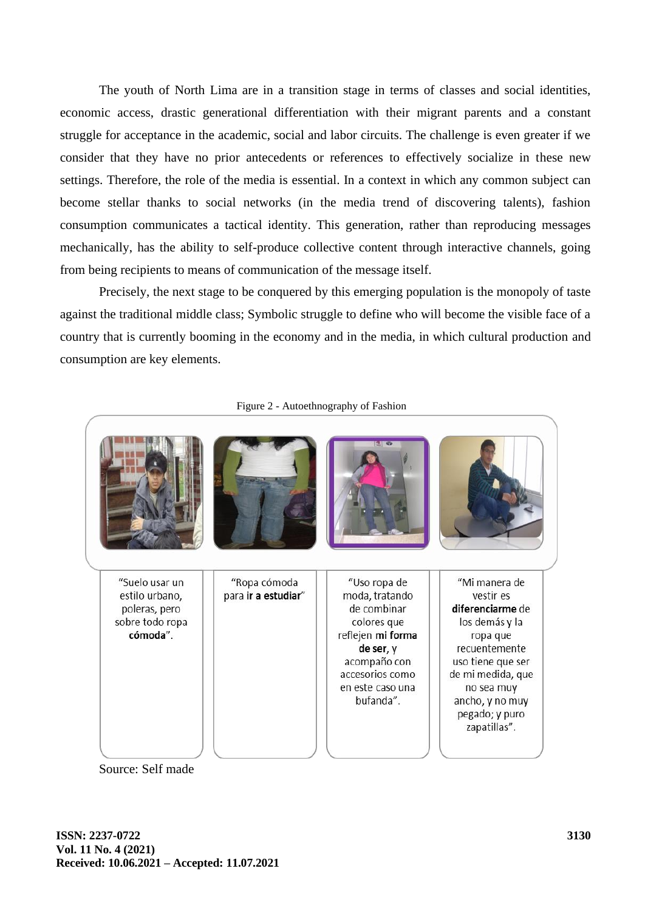The youth of North Lima are in a transition stage in terms of classes and social identities, economic access, drastic generational differentiation with their migrant parents and a constant struggle for acceptance in the academic, social and labor circuits. The challenge is even greater if we consider that they have no prior antecedents or references to effectively socialize in these new settings. Therefore, the role of the media is essential. In a context in which any common subject can become stellar thanks to social networks (in the media trend of discovering talents), fashion consumption communicates a tactical identity. This generation, rather than reproducing messages mechanically, has the ability to self-produce collective content through interactive channels, going from being recipients to means of communication of the message itself.

Precisely, the next stage to be conquered by this emerging population is the monopoly of taste against the traditional middle class; Symbolic struggle to define who will become the visible face of a country that is currently booming in the economy and in the media, in which cultural production and consumption are key elements.



Figure 2 - Autoethnography of Fashion

Source: Self made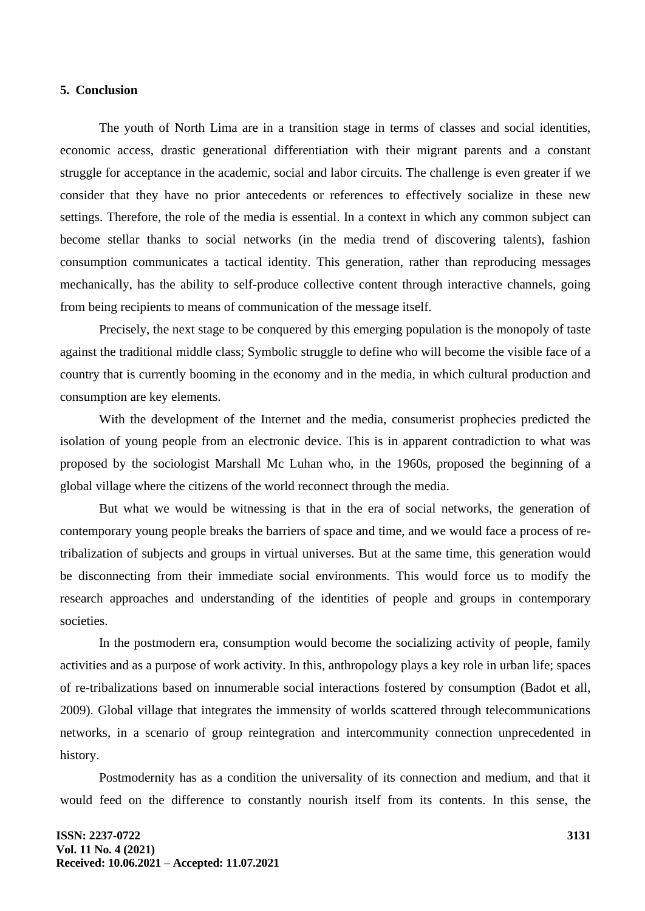#### **5. Conclusion**

The youth of North Lima are in a transition stage in terms of classes and social identities, economic access, drastic generational differentiation with their migrant parents and a constant struggle for acceptance in the academic, social and labor circuits. The challenge is even greater if we consider that they have no prior antecedents or references to effectively socialize in these new settings. Therefore, the role of the media is essential. In a context in which any common subject can become stellar thanks to social networks (in the media trend of discovering talents), fashion consumption communicates a tactical identity. This generation, rather than reproducing messages mechanically, has the ability to self-produce collective content through interactive channels, going from being recipients to means of communication of the message itself.

Precisely, the next stage to be conquered by this emerging population is the monopoly of taste against the traditional middle class; Symbolic struggle to define who will become the visible face of a country that is currently booming in the economy and in the media, in which cultural production and consumption are key elements.

With the development of the Internet and the media, consumerist prophecies predicted the isolation of young people from an electronic device. This is in apparent contradiction to what was proposed by the sociologist Marshall Mc Luhan who, in the 1960s, proposed the beginning of a global village where the citizens of the world reconnect through the media.

But what we would be witnessing is that in the era of social networks, the generation of contemporary young people breaks the barriers of space and time, and we would face a process of retribalization of subjects and groups in virtual universes. But at the same time, this generation would be disconnecting from their immediate social environments. This would force us to modify the research approaches and understanding of the identities of people and groups in contemporary societies.

In the postmodern era, consumption would become the socializing activity of people, family activities and as a purpose of work activity. In this, anthropology plays a key role in urban life; spaces of re-tribalizations based on innumerable social interactions fostered by consumption (Badot et all, 2009). Global village that integrates the immensity of worlds scattered through telecommunications networks, in a scenario of group reintegration and intercommunity connection unprecedented in history.

Postmodernity has as a condition the universality of its connection and medium, and that it would feed on the difference to constantly nourish itself from its contents. In this sense, the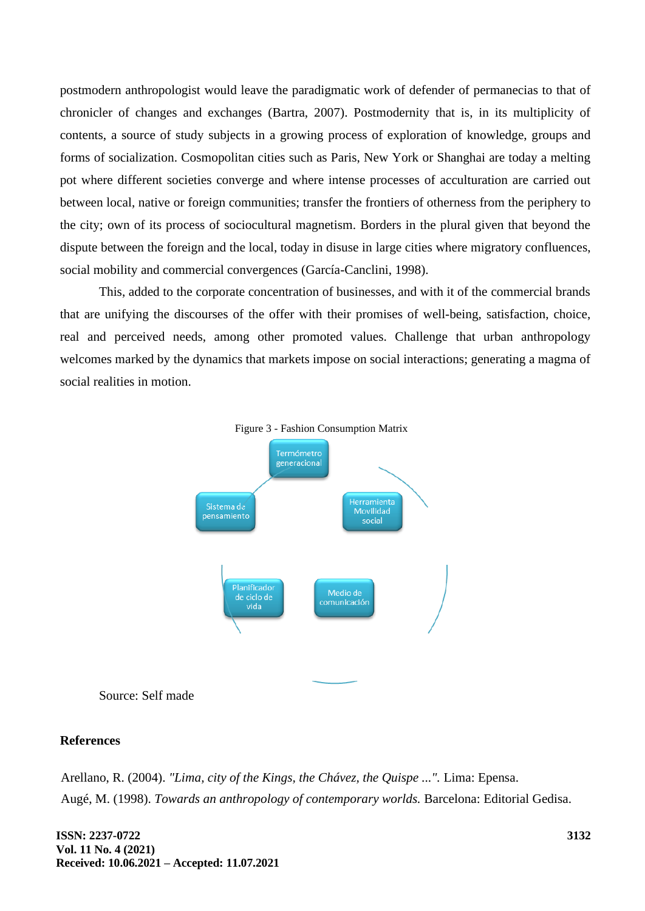postmodern anthropologist would leave the paradigmatic work of defender of permanecias to that of chronicler of changes and exchanges (Bartra, 2007). Postmodernity that is, in its multiplicity of contents, a source of study subjects in a growing process of exploration of knowledge, groups and forms of socialization. Cosmopolitan cities such as Paris, New York or Shanghai are today a melting pot where different societies converge and where intense processes of acculturation are carried out between local, native or foreign communities; transfer the frontiers of otherness from the periphery to the city; own of its process of sociocultural magnetism. Borders in the plural given that beyond the dispute between the foreign and the local, today in disuse in large cities where migratory confluences, social mobility and commercial convergences (García-Canclini, 1998).

This, added to the corporate concentration of businesses, and with it of the commercial brands that are unifying the discourses of the offer with their promises of well-being, satisfaction, choice, real and perceived needs, among other promoted values. Challenge that urban anthropology welcomes marked by the dynamics that markets impose on social interactions; generating a magma of social realities in motion.





Source: Self made

### **References**

Arellano, R. (2004). *"Lima, city of the Kings, the Chávez, the Quispe ...".* Lima: Epensa. Augé, M. (1998). *Towards an anthropology of contemporary worlds.* Barcelona: Editorial Gedisa.

**ISSN: 2237-0722 Vol. 11 No. 4 (2021) Received: 10.06.2021 – Accepted: 11.07.2021**